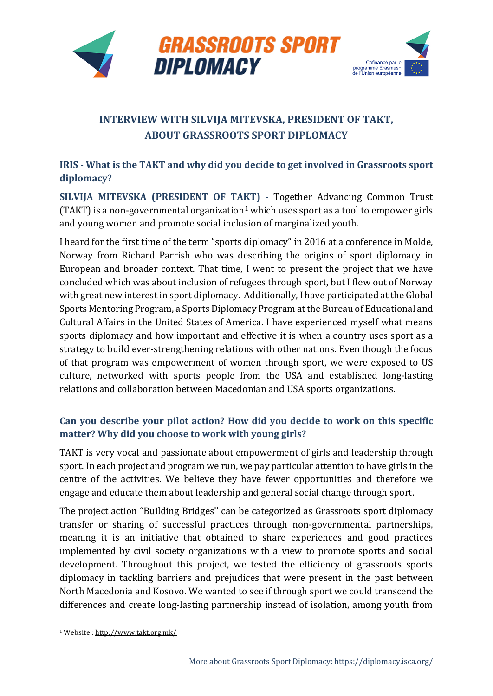

# **INTERVIEW WITH SILVIJA MITEVSKA, PRESIDENT OF TAKT, ABOUT GRASSROOTS SPORT DIPLOMACY**

## **IRIS - What is the TAKT and why did you decide to get involved in Grassroots sport diplomacy?**

**SILVIJA MITEVSKA (PRESIDENT OF TAKT) -** Together Advancing Common Trust (TAKT) is a non-governmental organization<sup>[1](#page-0-0)</sup> which uses sport as a tool to empower girls and young women and promote social inclusion of marginalized youth.

I heard for the first time of the term "sports diplomacy" in 2016 at a conference in Molde, Norway from Richard Parrish who was describing the origins of sport diplomacy in European and broader context. That time, I went to present the project that we have concluded which was about inclusion of refugees through sport, but I flew out of Norway with great new interest in sport diplomacy. Additionally, I have participated at the Global Sports Mentoring Program, a Sports Diplomacy Program at the Bureau of Educational and Cultural Affairs in the United States of America. I have experienced myself what means sports diplomacy and how important and effective it is when a country uses sport as a strategy to build ever-strengthening relations with other nations. Even though the focus of that program was empowerment of women through sport, we were exposed to US culture, networked with sports people from the USA and established long-lasting relations and collaboration between Macedonian and USA sports organizations.

## **Can you describe your pilot action? How did you decide to work on this specific matter? Why did you choose to work with young girls?**

TAKT is very vocal and passionate about empowerment of girls and leadership through sport. In each project and program we run, we pay particular attention to have girls in the centre of the activities. We believe they have fewer opportunities and therefore we engage and educate them about leadership and general social change through sport.

The project action "Building Bridges'' can be categorized as Grassroots sport diplomacy transfer or sharing of successful practices through non-governmental partnerships, meaning it is an initiative that obtained to share experiences and good practices implemented by civil society organizations with a view to promote sports and social development. Throughout this project, we tested the efficiency of grassroots sports diplomacy in tackling barriers and prejudices that were present in the past between North Macedonia and Kosovo. We wanted to see if through sport we could transcend the differences and create long-lasting partnership instead of isolation, among youth from

<span id="page-0-0"></span><sup>1</sup> Website [: http://www.takt.org.mk/](http://www.takt.org.mk/)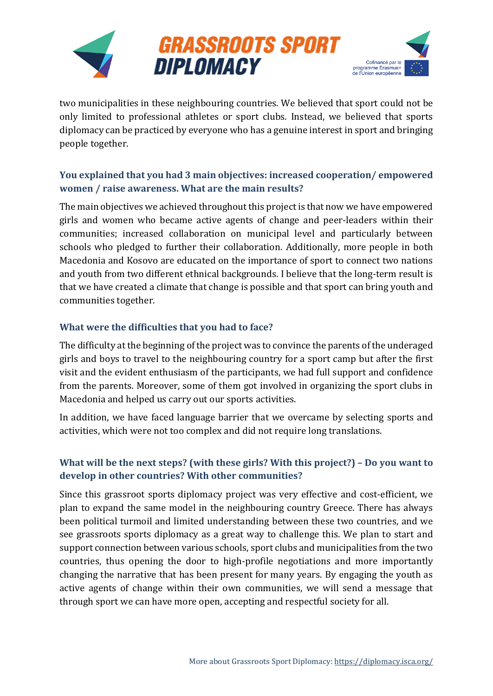





two municipalities in these neighbouring countries. We believed that sport could not be only limited to professional athletes or sport clubs. Instead, we believed that sports diplomacy can be practiced by everyone who has a genuine interest in sport and bringing people together.

## **You explained that you had 3 main objectives: increased cooperation/ empowered women / raise awareness. What are the main results?**

The main objectives we achieved throughout this project is that now we have empowered girls and women who became active agents of change and peer-leaders within their communities; increased collaboration on municipal level and particularly between schools who pledged to further their collaboration. Additionally, more people in both Macedonia and Kosovo are educated on the importance of sport to connect two nations and youth from two different ethnical backgrounds. I believe that the long-term result is that we have created a climate that change is possible and that sport can bring youth and communities together.

#### **What were the difficulties that you had to face?**

The difficulty at the beginning of the project was to convince the parents of the underaged girls and boys to travel to the neighbouring country for a sport camp but after the first visit and the evident enthusiasm of the participants, we had full support and confidence from the parents. Moreover, some of them got involved in organizing the sport clubs in Macedonia and helped us carry out our sports activities.

In addition, we have faced language barrier that we overcame by selecting sports and activities, which were not too complex and did not require long translations.

#### **What will be the next steps? (with these girls? With this project?) – Do you want to develop in other countries? With other communities?**

Since this grassroot sports diplomacy project was very effective and cost-efficient, we plan to expand the same model in the neighbouring country Greece. There has always been political turmoil and limited understanding between these two countries, and we see grassroots sports diplomacy as a great way to challenge this. We plan to start and support connection between various schools, sport clubs and municipalities from the two countries, thus opening the door to high-profile negotiations and more importantly changing the narrative that has been present for many years. By engaging the youth as active agents of change within their own communities, we will send a message that through sport we can have more open, accepting and respectful society for all.